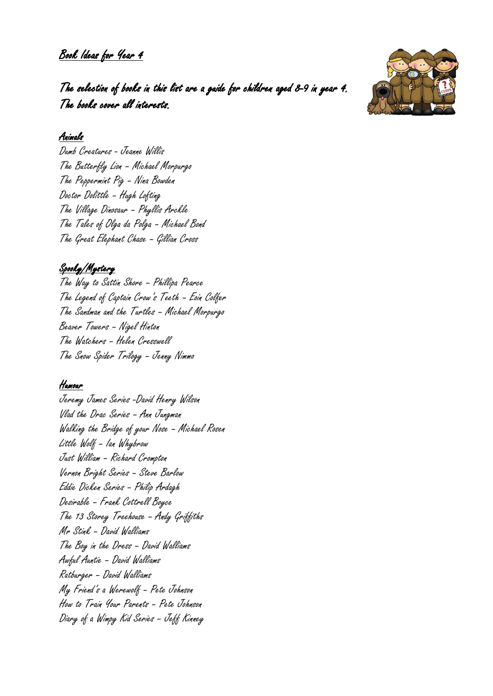Book Ideas for Year 4



The selection of books in this list are a guide for children aged 8-9 in year 4. The books cover all interests.

### Animals

Dumb Creatures - Jeanne Willis The Butterfly Lion – Michael Morpurgo The Peppermint Pig – Nina Bowden Doctor Dolittle – Hugh Lofting The Village Dinosaur – Phyllis Arckle The Tales of Olga da Polga – Michael Bond The Great Elephant Chase – Gillian Cross

# Spooky/Mystery

The Way to Sattin Shore – Phillipa Pearce The Legend of Captain Crow's Teeth – Eoin Colfer The Sandman and the Turtles – Michael Morpurgo Beaver Towers – Nigel Hinton The Watchers – Helen Cresswell The Snow Spider Trilogy – Jenny Nimmo

# Humour

Jeremy James Series -David Henry Wilson Vlad the Drac Series – Ann Jungman Walking the Bridge of your Nose – Michael Rosen Little Wolf – Ian Whybrow Just William – Richard Crompton Vernon Bright Series – Steve Barlow Eddie Dicken Series – Philip Ardagh Desirable – Frank Cottrell Boyce The 13 Storey Treehouse – Andy Griffiths Mr Stink – David Walliams The Boy in the Dress – David Walliams Awful Auntie – David Walliams Ratburger – David Walliams My Friend's a Werewolf – Pete Johnson How to Train Your Parents – Pete Johnson Diary of a Wimpy Kid Series – Jeff Kinney